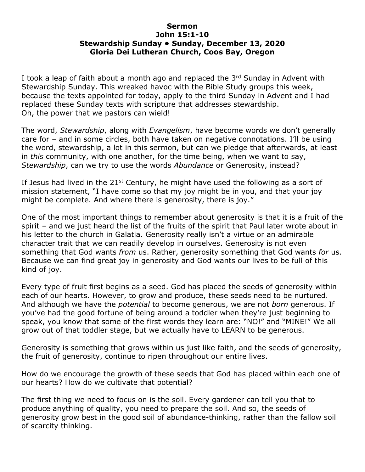## **Sermon John 15:1-10 Stewardship Sunday • Sunday, December 13, 2020 Gloria Dei Lutheran Church, Coos Bay, Oregon**

I took a leap of faith about a month ago and replaced the  $3<sup>rd</sup>$  Sunday in Advent with Stewardship Sunday. This wreaked havoc with the Bible Study groups this week, because the texts appointed for today, apply to the third Sunday in Advent and I had replaced these Sunday texts with scripture that addresses stewardship. Oh, the power that we pastors can wield!

The word, *Stewardship*, along with *Evangelism*, have become words we don't generally care for – and in some circles, both have taken on negative connotations. I'll be using the word, stewardship, a lot in this sermon, but can we pledge that afterwards, at least in *this* community, with one another, for the time being, when we want to say, *Stewardship*, can we try to use the words *Abundance* or Generosity, instead?

If Jesus had lived in the  $21^{st}$  Century, he might have used the following as a sort of mission statement, "I have come so that my joy might be in you, and that your joy might be complete. And where there is generosity, there is joy."

One of the most important things to remember about generosity is that it is a fruit of the spirit – and we just heard the list of the fruits of the spirit that Paul later wrote about in his letter to the church in Galatia. Generosity really isn't a virtue or an admirable character trait that we can readily develop in ourselves. Generosity is not even something that God wants *from* us. Rather, generosity something that God wants *for* us. Because we can find great joy in generosity and God wants our lives to be full of this kind of joy.

Every type of fruit first begins as a seed. God has placed the seeds of generosity within each of our hearts. However, to grow and produce, these seeds need to be nurtured. And although we have the *potential* to become generous, we are not *born* generous. If you've had the good fortune of being around a toddler when they're just beginning to speak, you know that some of the first words they learn are: "NO!" and "MINE!" We all grow out of that toddler stage, but we actually have to LEARN to be generous.

Generosity is something that grows within us just like faith, and the seeds of generosity, the fruit of generosity, continue to ripen throughout our entire lives.

How do we encourage the growth of these seeds that God has placed within each one of our hearts? How do we cultivate that potential?

The first thing we need to focus on is the soil. Every gardener can tell you that to produce anything of quality, you need to prepare the soil. And so, the seeds of generosity grow best in the good soil of abundance-thinking, rather than the fallow soil of scarcity thinking.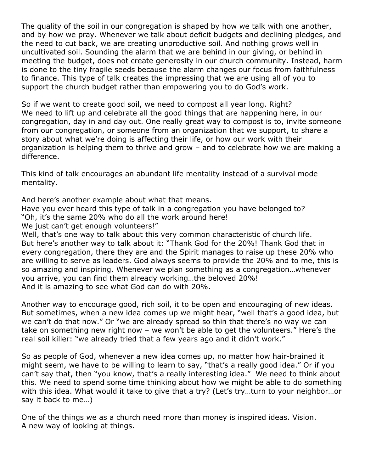The quality of the soil in our congregation is shaped by how we talk with one another, and by how we pray. Whenever we talk about deficit budgets and declining pledges, and the need to cut back, we are creating unproductive soil. And nothing grows well in uncultivated soil. Sounding the alarm that we are behind in our giving, or behind in meeting the budget, does not create generosity in our church community. Instead, harm is done to the tiny fragile seeds because the alarm changes our focus from faithfulness to finance. This type of talk creates the impressing that we are using all of you to support the church budget rather than empowering you to do God's work.

So if we want to create good soil, we need to compost all year long. Right? We need to lift up and celebrate all the good things that are happening here, in our congregation, day in and day out. One really great way to compost is to, invite someone from our congregation, or someone from an organization that we support, to share a story about what we're doing is affecting their life, or how our work with their organization is helping them to thrive and grow – and to celebrate how we are making a difference.

This kind of talk encourages an abundant life mentality instead of a survival mode mentality.

And here's another example about what that means.

Have you ever heard this type of talk in a congregation you have belonged to? "Oh, it's the same 20% who do all the work around here!

We just can't get enough volunteers!"

Well, that's one way to talk about this very common characteristic of church life. But here's another way to talk about it: "Thank God for the 20%! Thank God that in every congregation, there they are and the Spirit manages to raise up these 20% who are willing to serve as leaders. God always seems to provide the 20% and to me, this is so amazing and inspiring. Whenever we plan something as a congregation…whenever you arrive, you can find them already working…the beloved 20%! And it is amazing to see what God can do with 20%.

Another way to encourage good, rich soil, it to be open and encouraging of new ideas. But sometimes, when a new idea comes up we might hear, "well that's a good idea, but we can't do that now." Or "we are already spread so thin that there's no way we can take on something new right now – we won't be able to get the volunteers." Here's the real soil killer: "we already tried that a few years ago and it didn't work."

So as people of God, whenever a new idea comes up, no matter how hair-brained it might seem, we have to be willing to learn to say, "that's a really good idea." Or if you can't say that, then "you know, that's a really interesting idea." We need to think about this. We need to spend some time thinking about how we might be able to do something with this idea. What would it take to give that a try? (Let's try…turn to your neighbor…or say it back to me…)

One of the things we as a church need more than money is inspired ideas. Vision. A new way of looking at things.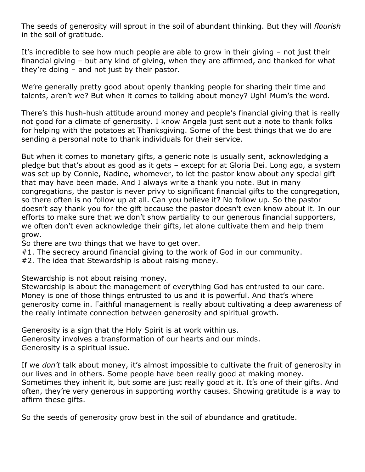The seeds of generosity will sprout in the soil of abundant thinking. But they will *flourish* in the soil of gratitude.

It's incredible to see how much people are able to grow in their giving – not just their financial giving – but any kind of giving, when they are affirmed, and thanked for what they're doing – and not just by their pastor.

We're generally pretty good about openly thanking people for sharing their time and talents, aren't we? But when it comes to talking about money? Ugh! Mum's the word.

There's this hush-hush attitude around money and people's financial giving that is really not good for a climate of generosity. I know Angela just sent out a note to thank folks for helping with the potatoes at Thanksgiving. Some of the best things that we do are sending a personal note to thank individuals for their service.

But when it comes to monetary gifts, a generic note is usually sent, acknowledging a pledge but that's about as good as it gets – except for at Gloria Dei. Long ago, a system was set up by Connie, Nadine, whomever, to let the pastor know about any special gift that may have been made. And I always write a thank you note. But in many congregations, the pastor is never privy to significant financial gifts to the congregation, so there often is no follow up at all. Can you believe it? No follow up. So the pastor doesn't say thank you for the gift because the pastor doesn't even know about it. In our efforts to make sure that we don't show partiality to our generous financial supporters, we often don't even acknowledge their gifts, let alone cultivate them and help them grow.

So there are two things that we have to get over.

- #1. The secrecy around financial giving to the work of God in our community.
- #2. The idea that Stewardship is about raising money.

Stewardship is not about raising money.

Stewardship is about the management of everything God has entrusted to our care. Money is one of those things entrusted to us and it is powerful. And that's where generosity come in. Faithful management is really about cultivating a deep awareness of the really intimate connection between generosity and spiritual growth.

Generosity is a sign that the Holy Spirit is at work within us. Generosity involves a transformation of our hearts and our minds. Generosity is a spiritual issue.

If we *don't* talk about money, it's almost impossible to cultivate the fruit of generosity in our lives and in others. Some people have been really good at making money. Sometimes they inherit it, but some are just really good at it. It's one of their gifts. And often, they're very generous in supporting worthy causes. Showing gratitude is a way to affirm these gifts.

So the seeds of generosity grow best in the soil of abundance and gratitude.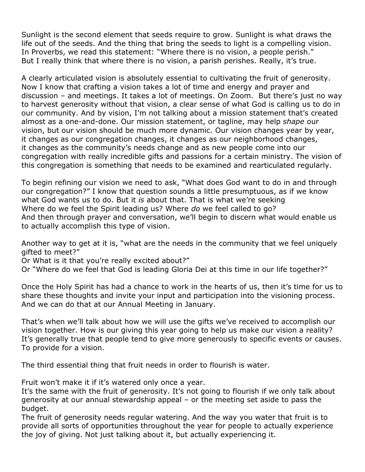Sunlight is the second element that seeds require to grow. Sunlight is what draws the life out of the seeds. And the thing that bring the seeds to light is a compelling vision. In Proverbs, we read this statement: "Where there is no vision, a people perish." But I really think that where there is no vision, a parish perishes. Really, it's true.

A clearly articulated vision is absolutely essential to cultivating the fruit of generosity. Now I know that crafting a vision takes a lot of time and energy and prayer and discussion – and meetings. It takes a lot of meetings. On Zoom. But there's just no way to harvest generosity without that vision, a clear sense of what God is calling us to do in our community. And by vision, I'm not talking about a mission statement that's created almost as a one-and-done. Our mission statement, or tagline, may help *shape* our vision, but our vision should be much more dynamic. Our vision changes year by year, it changes as our congregation changes, it changes as our neighborhood changes, it changes as the community's needs change and as new people come into our congregation with really incredible gifts and passions for a certain ministry. The vision of this congregation is something that needs to be examined and rearticulated regularly.

To begin refining our vision we need to ask, "What does God want to do in and through our congregation?" I know that question sounds a little presumptuous, as if we know what God wants us to do. But it *is* about that. That is what we're seeking Where do we feel the Spirit leading us? Where *do* we feel called to go? And then through prayer and conversation, we'll begin to discern what would enable us to actually accomplish this type of vision.

Another way to get at it is, "what are the needs in the community that we feel uniquely gifted to meet?"

Or What is it that you're really excited about?"

Or "Where do we feel that God is leading Gloria Dei at this time in our life together?"

Once the Holy Spirit has had a chance to work in the hearts of us, then it's time for us to share these thoughts and invite your input and participation into the visioning process. And we can do that at our Annual Meeting in January.

That's when we'll talk about how we will use the gifts we've received to accomplish our vision together. How is our giving this year going to help us make our vision a reality? It's generally true that people tend to give more generously to specific events or causes. To provide for a vision.

The third essential thing that fruit needs in order to flourish is water.

Fruit won't make it if it's watered only once a year.

It's the same with the fruit of generosity. It's not going to flourish if we only talk about generosity at our annual stewardship appeal – or the meeting set aside to pass the budget.

The fruit of generosity needs regular watering. And the way you water that fruit is to provide all sorts of opportunities throughout the year for people to actually experience the joy of giving. Not just talking about it, but actually experiencing it.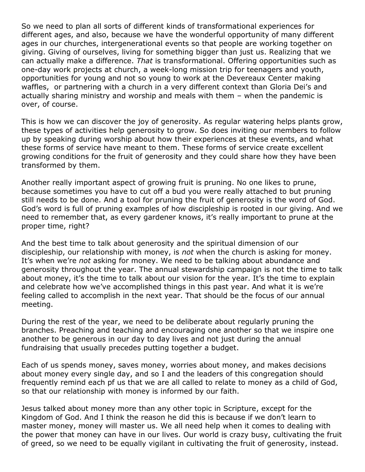So we need to plan all sorts of different kinds of transformational experiences for different ages, and also, because we have the wonderful opportunity of many different ages in our churches, intergenerational events so that people are working together on giving. Giving of ourselves, living for something bigger than just us. Realizing that we can actually make a difference. *That* is transformational. Offering opportunities such as one-day work projects at church, a week-long mission trip for teenagers and youth, opportunities for young and not so young to work at the Devereaux Center making waffles, or partnering with a church in a very different context than Gloria Dei's and actually sharing ministry and worship and meals with them – when the pandemic is over, of course.

This is how we can discover the joy of generosity. As regular watering helps plants grow, these types of activities help generosity to grow. So does inviting our members to follow up by speaking during worship about how their experiences at these events, and what these forms of service have meant to them. These forms of service create excellent growing conditions for the fruit of generosity and they could share how they have been transformed by them.

Another really important aspect of growing fruit is pruning. No one likes to prune, because sometimes you have to cut off a bud you were really attached to but pruning still needs to be done. And a tool for pruning the fruit of generosity is the word of God. God's word is full of pruning examples of how discipleship is rooted in our giving. And we need to remember that, as every gardener knows, it's really important to prune at the proper time, right?

And the best time to talk about generosity and the spiritual dimension of our discipleship, our relationship with money, is *not* when the church is asking for money. It's when we're *not* asking for money. We need to be talking about abundance and generosity throughout the year. The annual stewardship campaign is not the time to talk about money, it's the time to talk about our vision for the year. It's the time to explain and celebrate how we've accomplished things in this past year. And what it is we're feeling called to accomplish in the next year. That should be the focus of our annual meeting.

During the rest of the year, we need to be deliberate about regularly pruning the branches. Preaching and teaching and encouraging one another so that we inspire one another to be generous in our day to day lives and not just during the annual fundraising that usually precedes putting together a budget.

Each of us spends money, saves money, worries about money, and makes decisions about money every single day, and so I and the leaders of this congregation should frequently remind each pf us that we are all called to relate to money as a child of God, so that our relationship with money is informed by our faith.

Jesus talked about money more than any other topic in Scripture, except for the Kingdom of God. And I think the reason he did this is because if we don't learn to master money, money will master us. We all need help when it comes to dealing with the power that money can have in our lives. Our world is crazy busy, cultivating the fruit of greed, so we need to be equally vigilant in cultivating the fruit of generosity, instead.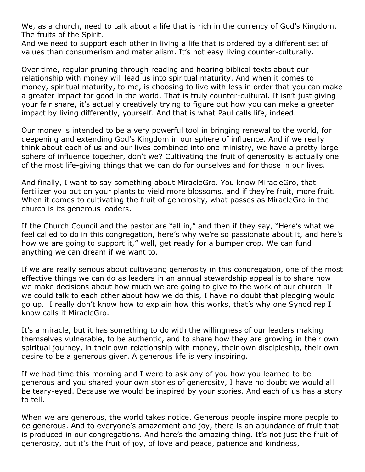We, as a church, need to talk about a life that is rich in the currency of God's Kingdom. The fruits of the Spirit.

And we need to support each other in living a life that is ordered by a different set of values than consumerism and materialism. It's not easy living counter-culturally.

Over time, regular pruning through reading and hearing biblical texts about our relationship with money will lead us into spiritual maturity. And when it comes to money, spiritual maturity, to me, is choosing to live with less in order that you can make a greater impact for good in the world. That is truly counter-cultural. It isn't just giving your fair share, it's actually creatively trying to figure out how you can make a greater impact by living differently, yourself. And that is what Paul calls life, indeed.

Our money is intended to be a very powerful tool in bringing renewal to the world, for deepening and extending God's Kingdom in our sphere of influence. And if we really think about each of us and our lives combined into one ministry, we have a pretty large sphere of influence together, don't we? Cultivating the fruit of generosity is actually one of the most life-giving things that we can do for ourselves and for those in our lives.

And finally, I want to say something about MiracleGro. You know MiracleGro, that fertilizer you put on your plants to yield more blossoms, and if they're fruit, more fruit. When it comes to cultivating the fruit of generosity, what passes as MiracleGro in the church is its generous leaders.

If the Church Council and the pastor are "all in," and then if they say, "Here's what we feel called to do in this congregation, here's why we're so passionate about it, and here's how we are going to support it," well, get ready for a bumper crop. We can fund anything we can dream if we want to.

If we are really serious about cultivating generosity in this congregation, one of the most effective things we can do as leaders in an annual stewardship appeal is to share how we make decisions about how much we are going to give to the work of our church. If we could talk to each other about how we do this, I have no doubt that pledging would go up. I really don't know how to explain how this works, that's why one Synod rep I know calls it MiracleGro.

It's a miracle, but it has something to do with the willingness of our leaders making themselves vulnerable, to be authentic, and to share how they are growing in their own spiritual journey, in their own relationship with money, their own discipleship, their own desire to be a generous giver. A generous life is very inspiring.

If we had time this morning and I were to ask any of you how you learned to be generous and you shared your own stories of generosity, I have no doubt we would all be teary-eyed. Because we would be inspired by your stories. And each of us has a story to tell.

When we are generous, the world takes notice. Generous people inspire more people to *be* generous. And to everyone's amazement and joy, there is an abundance of fruit that is produced in our congregations. And here's the amazing thing. It's not just the fruit of generosity, but it's the fruit of joy, of love and peace, patience and kindness,